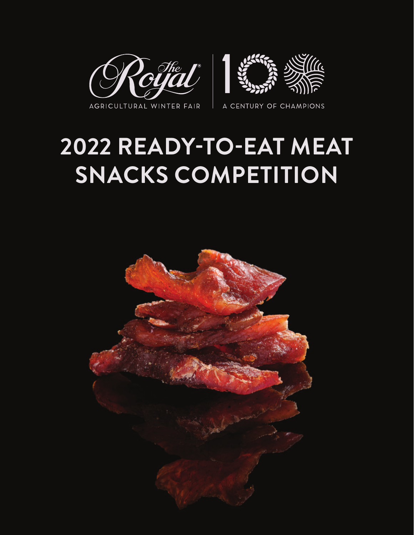

## **2022 READY-TO-EAT MEAT SNACKS COMPETITION**

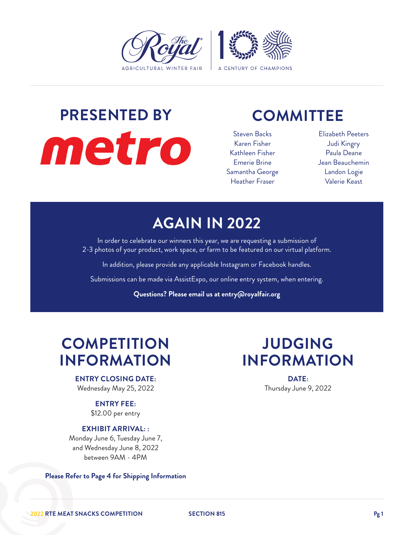

# **PRESENTED BY** metro

### **COMMITTEE**

Steven Backs Karen Fisher Kathleen Fisher Emerie Brine Samantha George Heather Fraser

Elizabeth Peeters Judi Kingry Paula Deane Jean Beauchemin Landon Logie Valerie Keast

### **AGAIN IN 2022**

In order to celebrate our winners this year, we are requesting a submission of 2-3 photos of your product, work space, or farm to be featured on our virtual platform.

In addition, please provide any applicable Instagram or Facebook handles.

Submissions can be made via AssistExpo, our online entry system, when entering.

**Questions? Please email us at entry@royalfair.org**

### **COMPETITION INFORMATION**

**ENTRY CLOSING DATE:** Wednesday May 25, 2022

> **ENTRY FEE:** \$12.00 per entry

#### **EXHIBIT ARRIVAL: :**

Monday June 6, Tuesday June 7, and Wednesday June 8, 2022 between 9AM - 4PM

**Please Refer to Page 4 for Shipping Information**

### **JUDGING INFORMATION**

**DATE:** Thursday June 9, 2022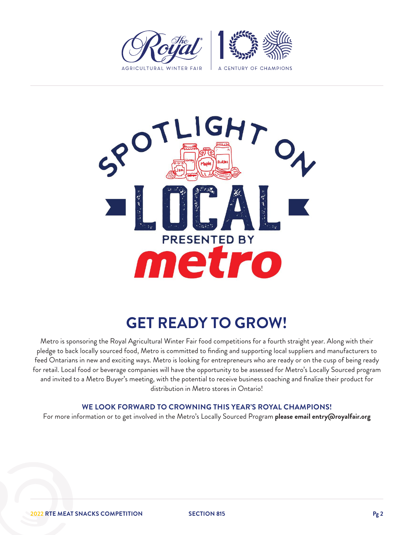



### **GET READY TO GROW!**

Metro is sponsoring the Royal Agricultural Winter Fair food competitions for a fourth straight year. Along with their pledge to back locally sourced food, Metro is committed to finding and supporting local suppliers and manufacturers to feed Ontarians in new and exciting ways. Metro is looking for entrepreneurs who are ready or on the cusp of being ready for retail. Local food or beverage companies will have the opportunity to be assessed for Metro's Locally Sourced program and invited to a Metro Buyer's meeting, with the potential to receive business coaching and finalize their product for distribution in Metro stores in Ontario!

#### **WE LOOK FORWARD TO CROWNING THIS YEAR'S ROYAL CHAMPIONS!**

For more information or to get involved in the Metro's Locally Sourced Program **please email entry@royalfair.org**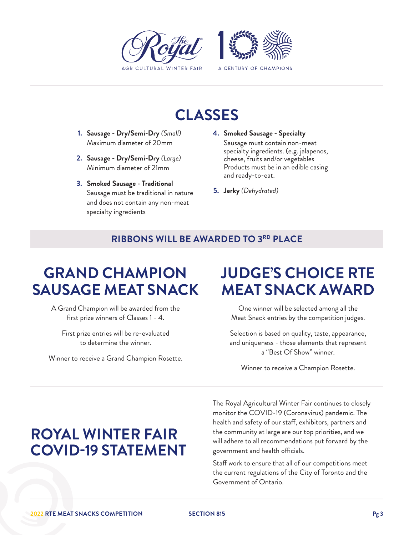

### **CLASSES**

- **1. Sausage Dry/Semi-Dry** *(Small)* Maximum diameter of 20mm
- **2. Sausage Dry/Semi-Dry** *(Large)* Minimum diameter of 21mm
- **3. Smoked Sausage Traditional** Sausage must be traditional in nature and does not contain any non-meat specialty ingredients
- **4. Smoked Sausage Specialty** Sausage must contain non-meat specialty ingredients. (e.g. jalapenos, cheese, fruits and/or vegetables Products must be in an edible casing and ready-to-eat.
- **5. Jerky** *(Dehydrated)*

#### **RIBBONS WILL BE AWARDED TO 3RD PLACE**

### **GRAND CHAMPION SAUSAGE MEAT SNACK**

A Grand Champion will be awarded from the first prize winners of Classes 1 - 4.

First prize entries will be re-evaluated to determine the winner.

Winner to receive a Grand Champion Rosette.

### **JUDGE'S CHOICE RTE MEAT SNACK AWARD**

One winner will be selected among all the Meat Snack entries by the competition judges.

Selection is based on quality, taste, appearance, and uniqueness - those elements that represent a "Best Of Show" winner.

Winner to receive a Champion Rosette.

### **ROYAL WINTER FAIR COVID-19 STATEMENT**

The Royal Agricultural Winter Fair continues to closely monitor the COVID-19 (Coronavirus) pandemic. The health and safety of our staff, exhibitors, partners and the community at large are our top priorities, and we will adhere to all recommendations put forward by the government and health officials.

Staff work to ensure that all of our competitions meet the current regulations of the City of Toronto and the Government of Ontario.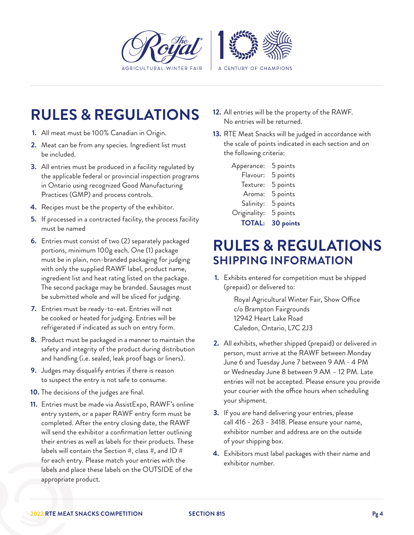

### **RULES & REGULATIONS**

- **1.** All meat must be 100% Canadian in Origin.
- **2.** Meat can be from any species. Ingredient list must be included.
- **3.** All entries must be produced in a facility regulated by the applicable federal or provincial inspection programs in Ontario using recognized Good Manufacturing Practices (GMP) and process controls.
- **4.** Recipes must be the property of the exhibitor.
- **5.** If processed in a contracted facility, the process facility must be named
- **6.** Entries must consist of two (2) separately packaged portions, minimum 100g each. One (1) package must be in plain, non-branded packaging for judging with only the supplied RAWF label, product name, ingredient list and heat rating listed on the package. The second package may be branded. Sausages must be submitted whole and will be sliced for judging.
- **7.** Entries must be ready-to-eat. Entries will not be cooked or heated for judging. Entries will be refrigerated if indicated as such on entry form.
- **8.** Product must be packaged in a manner to maintain the safety and integrity of the product during distribution and handling (i.e. sealed, leak proof bags or liners).
- **9.** Judges may disqualify entries if there is reason to suspect the entry is not safe to consume.
- **10.** The decisions of the judges are final.
- **11.** Entries must be made via AssistExpo, RAWF's online entry system, or a paper RAWF entry form must be completed. After the entry closing date, the RAWF will send the exhibitor a confirmation letter outlining their entries as well as labels for their products. These labels will contain the Section  $#$ , class  $#$ , and ID  $#$ for each entry. Please match your entries with the labels and place these labels on the OUTSIDE of the appropriate product.
- **12.** All entries will be the property of the RAWF. No entries will be returned.
- **13.** RTE Meat Snacks will be judged in accordance with the scale of points indicated in each section and on the following criteria:

| <b>TOTAL:</b> | 30 points |
|---------------|-----------|
| Originality:  | 5 points  |
| Salinity:     | 5 points  |
| Aroma:        | 5 points  |
| Texture:      | 5 points  |
| Flavour:      | 5 points  |
| Apperance:    | 5 points  |

### **RULES & REGULATIONS SHIPPING INFORMATION**

**1.** Exhibits entered for competition must be shipped (prepaid) or delivered to:

> Royal Agricultural Winter Fair, Show Office c/o Brampton Fairgrounds 12942 Heart Lake Road Caledon, Ontario, L7C 2J3

- **2.** All exhibits, whether shipped (prepaid) or delivered in person, must arrive at the RAWF between Monday June 6 and Tuesday June 7 between 9 AM - 4 PM or Wednesday June 8 between 9 AM – 12 PM. Late entries will not be accepted. Please ensure you provide your courier with the office hours when scheduling your shipment.
- **3.** If you are hand delivering your entries, please call 416 - 263 - 3418. Please ensure your name, exhibitor number and address are on the outside of your shipping box.
- **4.** Exhibitors must label packages with their name and exhibitor number.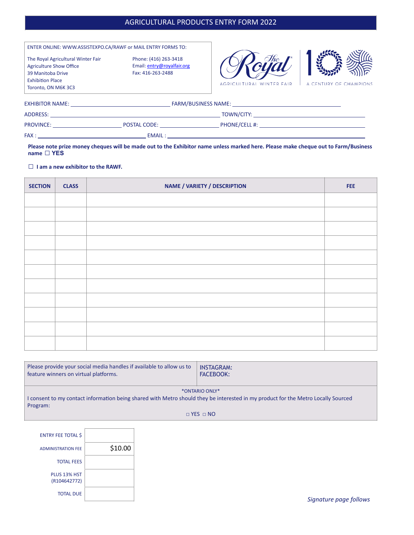#### AGRICULTURAL PRODUCTS ENTRY FORM 2022

| ENTER ONLINE: WWW.ASSISTEXPO.CA/RAWF or MAIL ENTRY FORMS TO:<br>The Royal Agricultural Winter Fair<br><b>Agriculture Show Office</b><br>39 Manitoba Drive<br><b>Exhibition Place</b><br>Toronto, ON M6K 3C3                         | Phone: (416) 263-3418<br>Email: entry@royalfair.org<br>Fax: 416-263-2488 | AGRICULTURAL WINTER FAIR                                                                                                                                                                                                            | A CENTURY OF CHAMPIONS |
|-------------------------------------------------------------------------------------------------------------------------------------------------------------------------------------------------------------------------------------|--------------------------------------------------------------------------|-------------------------------------------------------------------------------------------------------------------------------------------------------------------------------------------------------------------------------------|------------------------|
| <b>EXHIBITOR NAME:</b> The contract of the contract of the contract of the contract of the contract of the contract of the contract of the contract of the contract of the contract of the contract of the contract of the contract |                                                                          | FARM/BUSINESS NAME: THE RESERVE TO A RESERVE THE RESERVE TO A RESERVE THE RESERVE TO A RESERVE THE RESERVE TO A RESERVE THE RESERVE TO A RESERVE THE RESERVE THAT A RESERVE THAT A RESERVE THAT A RESERVE THAT A RESERVE THAT       |                        |
| ADDRESS:                                                                                                                                                                                                                            |                                                                          | <b>TOWN/CITY:</b> TOWN TOWN TO THE TABLE TO THE TABLE TO THE TABLE TO THE TABLE TO THE TABLE TO THE TABLE THAT THE TABLE TO THE TABLE THAT THE TABLE THAT THE TABLE TABLE THAT THE TABLE THAT THE TABLE THAT THE TABLE THAT THE TAB |                        |
| <b>PROVINCE:</b> The contract of the contract of the contract of the contract of the contract of the contract of the contract of the contract of the contract of the contract of the contract of the contract of the contract of th | <b>POSTAL CODE: EXAMPLE STATE</b>                                        | <b>PHONE/CELL #:</b> The contract of the contract of the contract of the contract of the contract of the contract of the contract of the contract of the contract of the contract of the contract of the contract of the contract o |                        |
| FAX:                                                                                                                                                                                                                                | <b>EMAIL:</b>                                                            |                                                                                                                                                                                                                                     |                        |

**Please note prize money cheques will be made out to the Exhibitor name unless marked here. Please make cheque out to Farm/Business name □ YES**

**□ <sup>I</sup> am a new exhibitor to the RAWF.**

| <b>SECTION</b> | <b>CLASS</b> | <b>NAME / VARIETY / DESCRIPTION</b> | FEE. |
|----------------|--------------|-------------------------------------|------|
|                |              |                                     |      |
|                |              |                                     |      |
|                |              |                                     |      |
|                |              |                                     |      |
|                |              |                                     |      |
|                |              |                                     |      |
|                |              |                                     |      |
|                |              |                                     |      |
|                |              |                                     |      |
|                |              |                                     |      |
|                |              |                                     |      |

| Please provide your social media handles if available to allow us to<br>feature winners on virtual platforms.                                 | <b>INSTAGRAM:</b><br><b>FACEBOOK:</b> |
|-----------------------------------------------------------------------------------------------------------------------------------------------|---------------------------------------|
| I consent to my contact information being shared with Metro should they be interested in my product for the Metro Locally Sourced<br>Program: | *ONTARIO ONLY*                        |
|                                                                                                                                               | $\Box$ YES $\Box$ NO                  |

|         | <b>ENTRY FEE TOTAL \$</b>    |
|---------|------------------------------|
| \$10.00 | <b>ADMINISTRATION FEE</b>    |
|         | <b>TOTAL FEES</b>            |
|         | PLUS 13% HST<br>(R104642772) |
|         | <b>TOTAL DUE</b>             |

*Signature page follows*